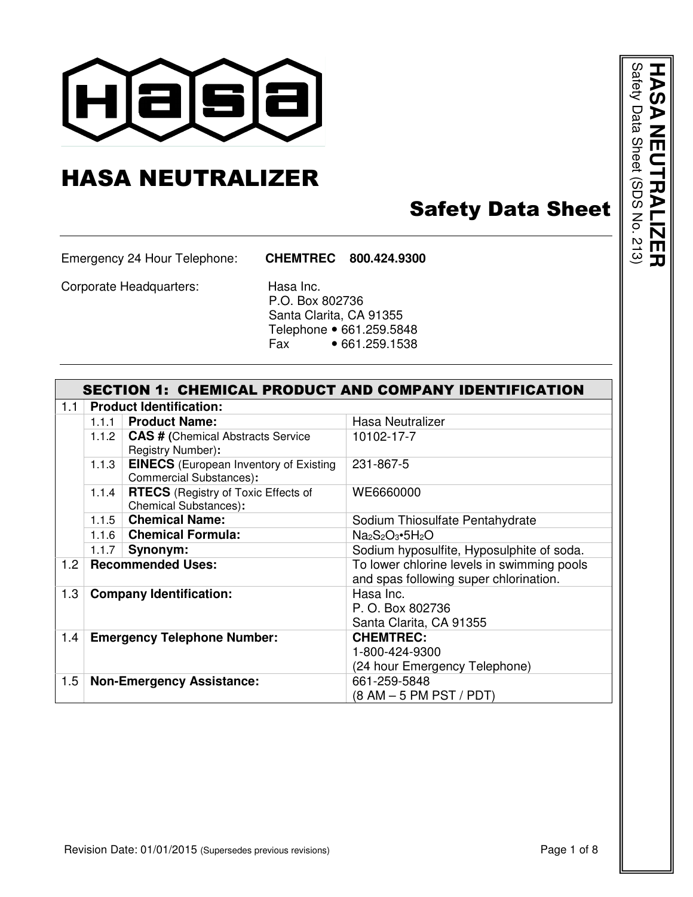

## HASA NEUTRALIZER

## Safety Data Sheet

Emergency 24 Hour Telephone: **CHEMTREC 800.424.9300**

Corporate Headquarters: Hasa Inc.

 P.O. Box 802736 Santa Clarita, CA 91355 Telephone • 661.259.5848<br>Fax • 661.259.1538  $•661.259.1538$ 

|     | <b>SECTION 1: CHEMICAL PRODUCT AND COMPANY IDENTIFICATION</b> |                                                                                 |                                                                                      |  |  |
|-----|---------------------------------------------------------------|---------------------------------------------------------------------------------|--------------------------------------------------------------------------------------|--|--|
| 1.1 |                                                               | <b>Product Identification:</b>                                                  |                                                                                      |  |  |
|     | 1.1.1                                                         | <b>Product Name:</b>                                                            | Hasa Neutralizer                                                                     |  |  |
|     | 1.1.2                                                         | <b>CAS # (Chemical Abstracts Service</b><br>Registry Number):                   | 10102-17-7                                                                           |  |  |
|     | 1.1.3                                                         | <b>EINECS</b> (European Inventory of Existing<br><b>Commercial Substances):</b> | 231-867-5                                                                            |  |  |
|     | 1.1.4                                                         | <b>RTECS</b> (Registry of Toxic Effects of<br><b>Chemical Substances):</b>      | WE6660000                                                                            |  |  |
|     | 1.1.5                                                         | <b>Chemical Name:</b>                                                           | Sodium Thiosulfate Pentahydrate                                                      |  |  |
|     | 1.1.6                                                         | <b>Chemical Formula:</b>                                                        | $Na2S2O3•5H2O$                                                                       |  |  |
|     | 1.1.7                                                         | Synonym:                                                                        | Sodium hyposulfite, Hyposulphite of soda.                                            |  |  |
| 1.2 |                                                               | <b>Recommended Uses:</b>                                                        | To lower chlorine levels in swimming pools<br>and spas following super chlorination. |  |  |
| 1.3 |                                                               | <b>Company Identification:</b>                                                  | Hasa Inc.<br>P. O. Box 802736                                                        |  |  |
|     |                                                               |                                                                                 | Santa Clarita, CA 91355                                                              |  |  |
| 1.4 |                                                               | <b>Emergency Telephone Number:</b>                                              | <b>CHEMTREC:</b>                                                                     |  |  |
|     |                                                               |                                                                                 | 1-800-424-9300                                                                       |  |  |
|     |                                                               |                                                                                 | (24 hour Emergency Telephone)                                                        |  |  |
| 1.5 |                                                               | <b>Non-Emergency Assistance:</b>                                                | 661-259-5848                                                                         |  |  |
|     |                                                               |                                                                                 | (8 AM – 5 PM PST / PDT)                                                              |  |  |

**HASA NEUTRALIZER<br><sup>Satety Data Sheet (SDS No. 213)**</sup> **NEUTRALIZER** Safety Data Sheet (SDS No. 213)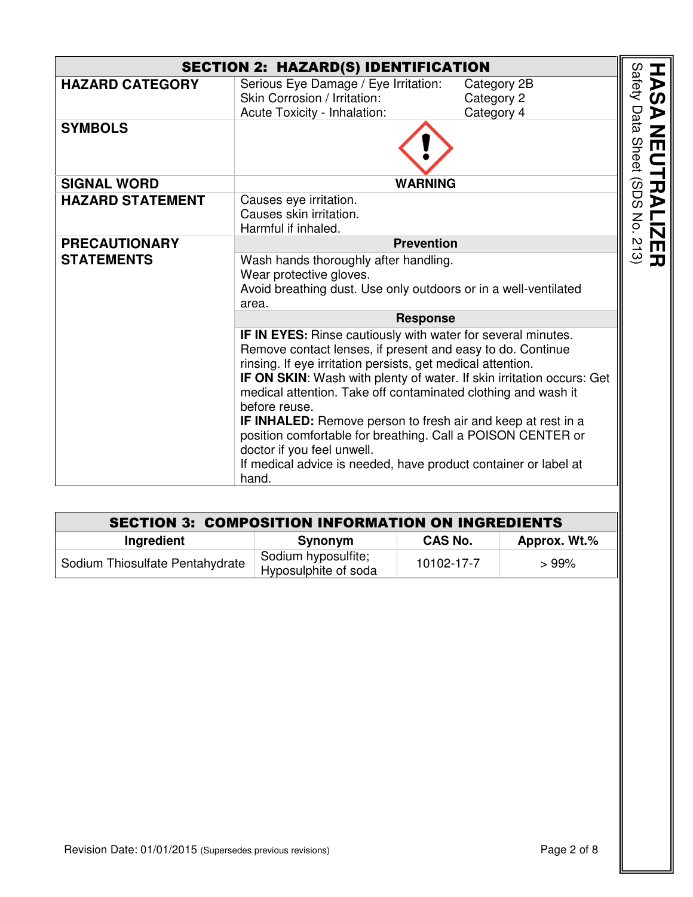| <b>SECTION 2: HAZARD(S) IDENTIFICATION</b> |                                                                                                                                                                                                                                                                                                                                                                                                                                                                                                                                                                                                      |                                         |  |  |
|--------------------------------------------|------------------------------------------------------------------------------------------------------------------------------------------------------------------------------------------------------------------------------------------------------------------------------------------------------------------------------------------------------------------------------------------------------------------------------------------------------------------------------------------------------------------------------------------------------------------------------------------------------|-----------------------------------------|--|--|
| <b>HAZARD CATEGORY</b>                     | Serious Eye Damage / Eye Irritation:<br>Skin Corrosion / Irritation:<br>Acute Toxicity - Inhalation:                                                                                                                                                                                                                                                                                                                                                                                                                                                                                                 | Category 2B<br>Category 2<br>Category 4 |  |  |
| <b>SYMBOLS</b>                             |                                                                                                                                                                                                                                                                                                                                                                                                                                                                                                                                                                                                      |                                         |  |  |
| <b>SIGNAL WORD</b>                         | <b>WARNING</b>                                                                                                                                                                                                                                                                                                                                                                                                                                                                                                                                                                                       |                                         |  |  |
| <b>HAZARD STATEMENT</b>                    | Causes eye irritation.<br>Causes skin irritation.<br>Harmful if inhaled.                                                                                                                                                                                                                                                                                                                                                                                                                                                                                                                             |                                         |  |  |
| <b>PRECAUTIONARY</b>                       | <b>Prevention</b>                                                                                                                                                                                                                                                                                                                                                                                                                                                                                                                                                                                    |                                         |  |  |
| <b>STATEMENTS</b>                          | Wash hands thoroughly after handling.<br>Wear protective gloves.<br>Avoid breathing dust. Use only outdoors or in a well-ventilated<br>area.                                                                                                                                                                                                                                                                                                                                                                                                                                                         |                                         |  |  |
|                                            | <b>Response</b>                                                                                                                                                                                                                                                                                                                                                                                                                                                                                                                                                                                      |                                         |  |  |
|                                            | IF IN EYES: Rinse cautiously with water for several minutes.<br>Remove contact lenses, if present and easy to do. Continue<br>rinsing. If eye irritation persists, get medical attention.<br>IF ON SKIN: Wash with plenty of water. If skin irritation occurs: Get<br>medical attention. Take off contaminated clothing and wash it<br>before reuse.<br><b>IF INHALED:</b> Remove person to fresh air and keep at rest in a<br>position comfortable for breathing. Call a POISON CENTER or<br>doctor if you feel unwell.<br>If medical advice is needed, have product container or label at<br>hand. |                                         |  |  |

| <b>SECTION 3: COMPOSITION INFORMATION ON INGREDIENTS</b> |                                             |                |              |
|----------------------------------------------------------|---------------------------------------------|----------------|--------------|
| Ingredient                                               | Synonym                                     | <b>CAS No.</b> | Approx. Wt.% |
| Sodium Thiosulfate Pentahydrate                          | Sodium hyposulfite;<br>Hyposulphite of soda | 10102-17-7     | >99%         |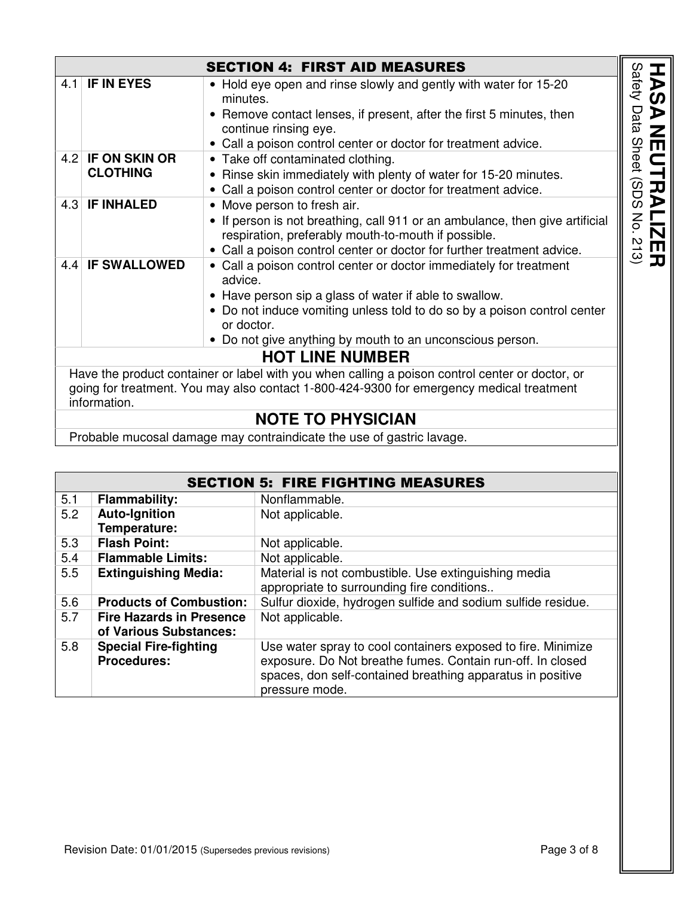| <b>SECTION 4: FIRST AID MEASURES</b>                                                                                                                                                                        |                                      |                                                                                                                                                                                                                                                                                                |                                                                     |  |
|-------------------------------------------------------------------------------------------------------------------------------------------------------------------------------------------------------------|--------------------------------------|------------------------------------------------------------------------------------------------------------------------------------------------------------------------------------------------------------------------------------------------------------------------------------------------|---------------------------------------------------------------------|--|
|                                                                                                                                                                                                             | 4.1 IF IN EYES                       | • Hold eye open and rinse slowly and gently with water for 15-20<br>minutes.<br>• Remove contact lenses, if present, after the first 5 minutes, then<br>continue rinsing eye.                                                                                                                  | vafety<br>$\boldsymbol{\omega}$<br>⋗<br>ăta                         |  |
|                                                                                                                                                                                                             |                                      | • Call a poison control center or doctor for treatment advice.                                                                                                                                                                                                                                 | <u>て</u>                                                            |  |
|                                                                                                                                                                                                             | 4.2 IF ON SKIN OR<br><b>CLOTHING</b> | • Take off contaminated clothing.<br>• Rinse skin immediately with plenty of water for 15-20 minutes.<br>• Call a poison control center or doctor for treatment advice.                                                                                                                        | hee<br>UTR<br>်ကဲ                                                   |  |
|                                                                                                                                                                                                             | 4.3 IF INHALED                       | • Move person to fresh air.<br>• If person is not breathing, call 911 or an ambulance, then give artificial<br>respiration, preferably mouth-to-mouth if possible.<br>• Call a poison control center or doctor for further treatment advice.                                                   | Νò.<br>$\underline{\mathbf{N}}$<br>$\overline{a}$<br>$\blacksquare$ |  |
|                                                                                                                                                                                                             | 4.4 IF SWALLOWED                     | • Call a poison control center or doctor immediately for treatment<br>advice.<br>• Have person sip a glass of water if able to swallow.<br>• Do not induce vomiting unless told to do so by a poison control center<br>or doctor.<br>• Do not give anything by mouth to an unconscious person. | $\mathbf{\mathcal{L}} \circledcirc$                                 |  |
| <b>HOT LINE NUMBER</b>                                                                                                                                                                                      |                                      |                                                                                                                                                                                                                                                                                                |                                                                     |  |
| Have the product container or label with you when calling a poison control center or doctor, or<br>going for treatment. You may also contact 1-800-424-9300 for emergency medical treatment<br>information. |                                      |                                                                                                                                                                                                                                                                                                |                                                                     |  |
|                                                                                                                                                                                                             |                                      | <b>NOTE TO PHYSICIAN</b>                                                                                                                                                                                                                                                                       |                                                                     |  |
| Double below<br>$-1$ $-1$                                                                                                                                                                                   |                                      |                                                                                                                                                                                                                                                                                                |                                                                     |  |

Probable mucosal damage may contraindicate the use of gastric lavage.

|     |                                 | <b>SECTION 5: FIRE FIGHTING MEASURES</b>                     |
|-----|---------------------------------|--------------------------------------------------------------|
| 5.1 | <b>Flammability:</b>            | Nonflammable.                                                |
| 5.2 | <b>Auto-Ignition</b>            | Not applicable.                                              |
|     | Temperature:                    |                                                              |
| 5.3 | <b>Flash Point:</b>             | Not applicable.                                              |
| 5.4 | <b>Flammable Limits:</b>        | Not applicable.                                              |
| 5.5 | <b>Extinguishing Media:</b>     | Material is not combustible. Use extinguishing media         |
|     |                                 | appropriate to surrounding fire conditions                   |
| 5.6 | <b>Products of Combustion:</b>  | Sulfur dioxide, hydrogen sulfide and sodium sulfide residue. |
| 5.7 | <b>Fire Hazards in Presence</b> | Not applicable.                                              |
|     | of Various Substances:          |                                                              |
| 5.8 | <b>Special Fire-fighting</b>    | Use water spray to cool containers exposed to fire. Minimize |
|     | <b>Procedures:</b>              | exposure. Do Not breathe fumes. Contain run-off. In closed   |
|     |                                 | spaces, don self-contained breathing apparatus in positive   |
|     |                                 | pressure mode.                                               |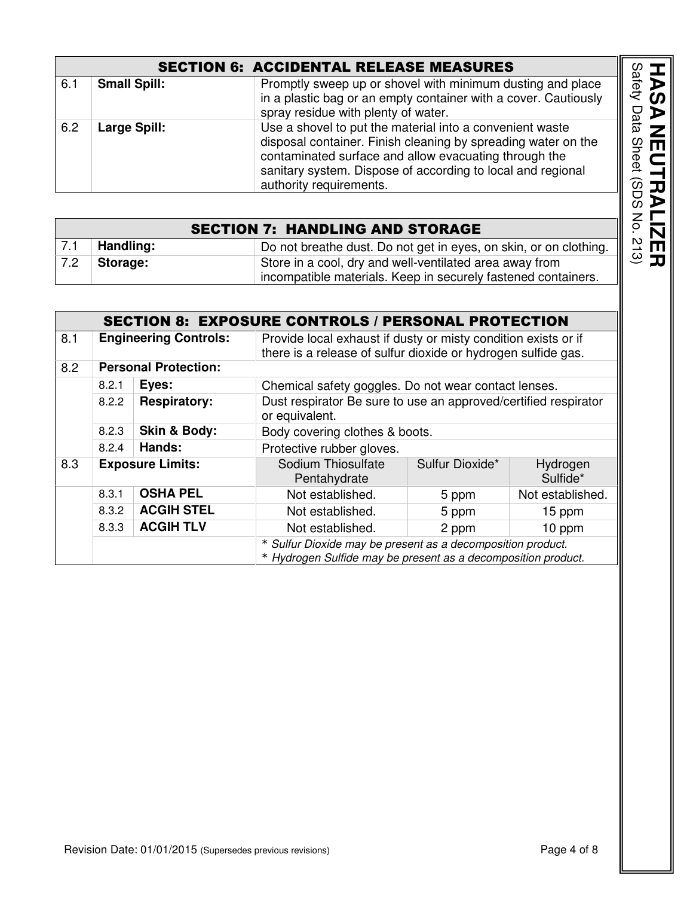| <b>SECTION 6: ACCIDENTAL RELEASE MEASURES</b> |                     |                                                                                                                                                                                                                                                                              |  |
|-----------------------------------------------|---------------------|------------------------------------------------------------------------------------------------------------------------------------------------------------------------------------------------------------------------------------------------------------------------------|--|
| 6.1                                           | <b>Small Spill:</b> | Promptly sweep up or shovel with minimum dusting and place<br>in a plastic bag or an empty container with a cover. Cautiously<br>spray residue with plenty of water.                                                                                                         |  |
| 6.2                                           | <b>Large Spill:</b> | Use a shovel to put the material into a convenient waste<br>disposal container. Finish cleaning by spreading water on the<br>contaminated surface and allow evacuating through the<br>sanitary system. Dispose of according to local and regional<br>authority requirements. |  |
|                                               |                     |                                                                                                                                                                                                                                                                              |  |
|                                               |                     | <b>SECTION 7: HANDLING AND STORAGE</b>                                                                                                                                                                                                                                       |  |
| 7.1                                           | Handling:           | Do not breathe dust. Do not get in eyes, on skin, or on clothing.                                                                                                                                                                                                            |  |
| 7.2                                           | Storage:            | Store in a cool, dry and well-ventilated area away from                                                                                                                                                                                                                      |  |

|     | <b>SECTION 7: HANDLING AND STORAGE</b> |                                                                   |  |  |
|-----|----------------------------------------|-------------------------------------------------------------------|--|--|
| 7.1 | Handling:                              | Do not breathe dust. Do not get in eyes, on skin, or on clothing. |  |  |
| 7.2 | Storage:                               | Store in a cool, dry and well-ventilated area away from           |  |  |
|     |                                        | incompatible materials. Keep in securely fastened containers.     |  |  |

|     |                              |                             | <b>SECTION 8: EXPOSURE CONTROLS / PERSONAL PROTECTION</b>                                                                       |                 |                      |
|-----|------------------------------|-----------------------------|---------------------------------------------------------------------------------------------------------------------------------|-----------------|----------------------|
| 8.1 | <b>Engineering Controls:</b> |                             | Provide local exhaust if dusty or misty condition exists or if<br>there is a release of sulfur dioxide or hydrogen sulfide gas. |                 |                      |
| 8.2 |                              | <b>Personal Protection:</b> |                                                                                                                                 |                 |                      |
|     | 8.2.1                        | Eyes:                       | Chemical safety goggles. Do not wear contact lenses.                                                                            |                 |                      |
|     | 8.2.2                        | <b>Respiratory:</b>         | Dust respirator Be sure to use an approved/certified respirator<br>or equivalent.                                               |                 |                      |
|     | 8.2.3                        | <b>Skin &amp; Body:</b>     | Body covering clothes & boots.                                                                                                  |                 |                      |
|     | 8.2.4                        | Hands:                      | Protective rubber gloves.                                                                                                       |                 |                      |
| 8.3 |                              | <b>Exposure Limits:</b>     | Sodium Thiosulfate<br>Pentahydrate                                                                                              | Sulfur Dioxide* | Hydrogen<br>Sulfide* |
|     | 8.3.1                        | <b>OSHA PEL</b>             | Not established.                                                                                                                | 5 ppm           | Not established.     |
|     | 8.3.2                        | <b>ACGIH STEL</b>           | Not established.                                                                                                                | 5 ppm           | 15 ppm               |
|     | 8.3.3                        | <b>ACGIH TLV</b>            | Not established.                                                                                                                | 2 ppm           | 10 ppm               |
|     |                              |                             | * Sulfur Dioxide may be present as a decomposition product.<br>* Hydrogen Sulfide may be present as a decomposition product.    |                 |                      |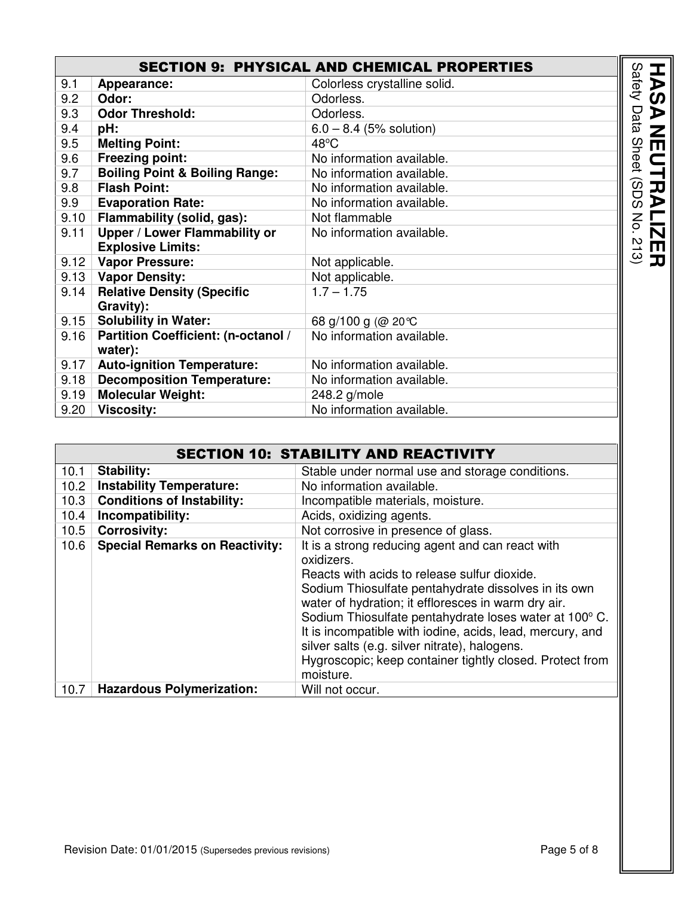| <b>SECTION 9: PHYSICAL AND CHEMICAL PROPERTIES</b><br>Safety |                              |                        |  |
|--------------------------------------------------------------|------------------------------|------------------------|--|
| 9.1<br>Appearance:                                           | Colorless crystalline solid. |                        |  |
| 9.2<br>Odor:                                                 | Odorless.                    |                        |  |
| <b>Odor Threshold:</b><br>9.3                                | Odorless.                    | Data                   |  |
| 9.4<br>pH:                                                   | $6.0 - 8.4$ (5% solution)    |                        |  |
| <b>Melting Point:</b><br>9.5                                 | $48^{\circ}$ C               | <b>Sheet</b>           |  |
| <b>Freezing point:</b><br>9.6                                | No information available.    |                        |  |
| <b>Boiling Point &amp; Boiling Range:</b><br>9.7             | No information available.    |                        |  |
| <b>Flash Point:</b><br>9.8                                   | No information available.    | SDS                    |  |
| 9.9<br><b>Evaporation Rate:</b>                              | No information available.    |                        |  |
| Flammability (solid, gas):<br>9.10                           | Not flammable                | No.                    |  |
| Upper / Lower Flammability or<br>9.11                        | No information available.    |                        |  |
| <b>Explosive Limits:</b>                                     |                              | $\overline{\omega}$    |  |
| 9.12<br><b>Vapor Pressure:</b>                               | Not applicable.              | $\widehat{\mathbf{c}}$ |  |
| 9.13   Vapor Density:                                        | Not applicable.              |                        |  |
| <b>Relative Density (Specific</b><br>9.14                    | $1.7 - 1.75$                 |                        |  |
| Gravity):                                                    |                              |                        |  |
| <b>Solubility in Water:</b><br>9.15                          | 68 g/100 g (@ 20℃            |                        |  |
| Partition Coefficient: (n-octanol /<br>9.16                  | No information available.    |                        |  |
| water):                                                      |                              |                        |  |
| <b>Auto-ignition Temperature:</b><br>9.17                    | No information available.    |                        |  |
| <b>Decomposition Temperature:</b><br>9.18                    | No information available.    |                        |  |
| <b>Molecular Weight:</b><br>9.19                             | 248.2 g/mole                 |                        |  |
| 9.20<br><b>Viscosity:</b>                                    | No information available.    |                        |  |

|      | <b>SECTION 10: STABILITY AND REACTIVITY</b> |                                                                                                                                                                                                                                                                                                                                                                                                                                                                                |  |
|------|---------------------------------------------|--------------------------------------------------------------------------------------------------------------------------------------------------------------------------------------------------------------------------------------------------------------------------------------------------------------------------------------------------------------------------------------------------------------------------------------------------------------------------------|--|
| 10.1 | <b>Stability:</b>                           | Stable under normal use and storage conditions.                                                                                                                                                                                                                                                                                                                                                                                                                                |  |
| 10.2 | <b>Instability Temperature:</b>             | No information available.                                                                                                                                                                                                                                                                                                                                                                                                                                                      |  |
| 10.3 | <b>Conditions of Instability:</b>           | Incompatible materials, moisture.                                                                                                                                                                                                                                                                                                                                                                                                                                              |  |
| 10.4 | Incompatibility:                            | Acids, oxidizing agents.                                                                                                                                                                                                                                                                                                                                                                                                                                                       |  |
| 10.5 | <b>Corrosivity:</b>                         | Not corrosive in presence of glass.                                                                                                                                                                                                                                                                                                                                                                                                                                            |  |
| 10.6 | <b>Special Remarks on Reactivity:</b>       | It is a strong reducing agent and can react with<br>oxidizers.<br>Reacts with acids to release sulfur dioxide.<br>Sodium Thiosulfate pentahydrate dissolves in its own<br>water of hydration; it effloresces in warm dry air.<br>Sodium Thiosulfate pentahydrate loses water at 100° C.<br>It is incompatible with iodine, acids, lead, mercury, and<br>silver salts (e.g. silver nitrate), halogens.<br>Hygroscopic; keep container tightly closed. Protect from<br>moisture. |  |
| 10.7 | <b>Hazardous Polymerization:</b>            | Will not occur.                                                                                                                                                                                                                                                                                                                                                                                                                                                                |  |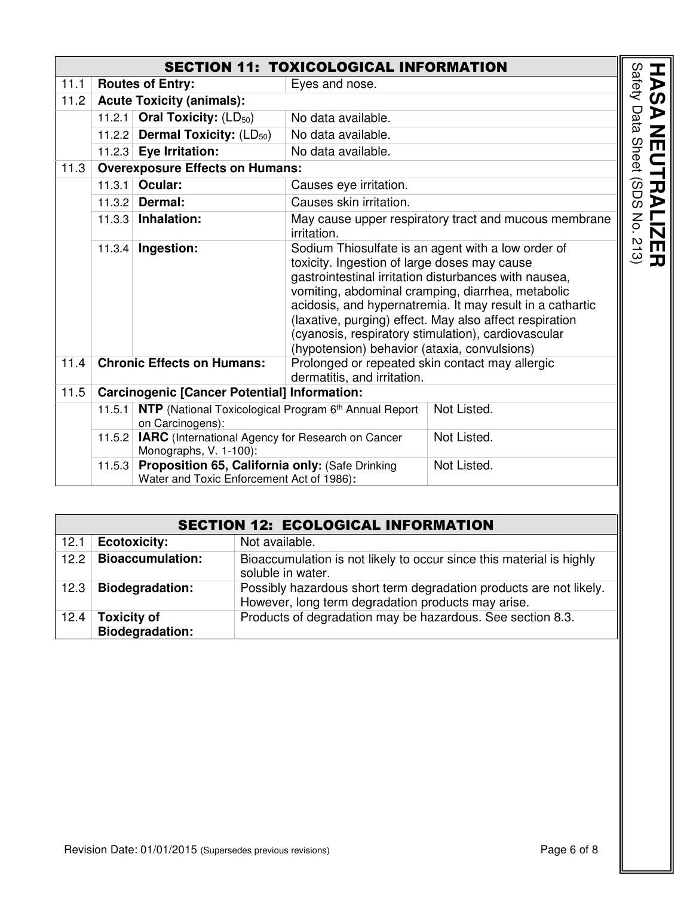| <b>SECTION 11: TOXICOLOGICAL INFORMATION</b> |                                           |                                                                                              |                                                                                              |                                                                                                                                                                                                                                                                                                                                                 |
|----------------------------------------------|-------------------------------------------|----------------------------------------------------------------------------------------------|----------------------------------------------------------------------------------------------|-------------------------------------------------------------------------------------------------------------------------------------------------------------------------------------------------------------------------------------------------------------------------------------------------------------------------------------------------|
| 11.1                                         | <b>Routes of Entry:</b><br>Eyes and nose. |                                                                                              |                                                                                              |                                                                                                                                                                                                                                                                                                                                                 |
| 11.2                                         |                                           | <b>Acute Toxicity (animals):</b>                                                             |                                                                                              |                                                                                                                                                                                                                                                                                                                                                 |
|                                              |                                           | 11.2.1 Oral Toxicity: $(LD_{50})$                                                            | No data available.                                                                           |                                                                                                                                                                                                                                                                                                                                                 |
|                                              |                                           | 11.2.2 Dermal Toxicity: $(LD_{50})$                                                          | No data available.                                                                           |                                                                                                                                                                                                                                                                                                                                                 |
|                                              |                                           | 11.2.3 Eye Irritation:                                                                       | No data available.                                                                           |                                                                                                                                                                                                                                                                                                                                                 |
| 11.3                                         |                                           | <b>Overexposure Effects on Humans:</b>                                                       |                                                                                              |                                                                                                                                                                                                                                                                                                                                                 |
|                                              | 11.3.1                                    | Ocular:                                                                                      | Causes eye irritation.                                                                       |                                                                                                                                                                                                                                                                                                                                                 |
|                                              |                                           | 11.3.2 Dermal:                                                                               | Causes skin irritation.                                                                      |                                                                                                                                                                                                                                                                                                                                                 |
|                                              |                                           | $11.3.3$ Inhalation:                                                                         | irritation.                                                                                  | May cause upper respiratory tract and mucous membrane                                                                                                                                                                                                                                                                                           |
|                                              | 11.3.4                                    | Ingestion:                                                                                   | toxicity. Ingestion of large doses may cause<br>(hypotension) behavior (ataxia, convulsions) | Sodium Thiosulfate is an agent with a low order of<br>gastrointestinal irritation disturbances with nausea,<br>vomiting, abdominal cramping, diarrhea, metabolic<br>acidosis, and hypernatremia. It may result in a cathartic<br>(laxative, purging) effect. May also affect respiration<br>(cyanosis, respiratory stimulation), cardiovascular |
| 11.4                                         |                                           | <b>Chronic Effects on Humans:</b>                                                            | Prolonged or repeated skin contact may allergic<br>dermatitis, and irritation.               |                                                                                                                                                                                                                                                                                                                                                 |
| 11.5                                         |                                           | <b>Carcinogenic [Cancer Potential] Information:</b>                                          |                                                                                              |                                                                                                                                                                                                                                                                                                                                                 |
|                                              | 11.5.1                                    | NTP (National Toxicological Program 6th Annual Report<br>on Carcinogens):                    |                                                                                              | Not Listed.                                                                                                                                                                                                                                                                                                                                     |
|                                              |                                           | 11.5.2   IARC (International Agency for Research on Cancer<br>Monographs, V. 1-100):         |                                                                                              | Not Listed.                                                                                                                                                                                                                                                                                                                                     |
|                                              | 11.5.3                                    | Proposition 65, California only: (Safe Drinking<br>Water and Toxic Enforcement Act of 1986): |                                                                                              | Not Listed.                                                                                                                                                                                                                                                                                                                                     |

|      | <b>SECTION 12: ECOLOGICAL INFORMATION</b>    |                                                                                                                          |  |  |
|------|----------------------------------------------|--------------------------------------------------------------------------------------------------------------------------|--|--|
| 12.1 | <b>Ecotoxicity:</b>                          | Not available.                                                                                                           |  |  |
| 12.2 | <b>Bioaccumulation:</b>                      | Bioaccumulation is not likely to occur since this material is highly<br>soluble in water.                                |  |  |
| 12.3 | <b>Biodegradation:</b>                       | Possibly hazardous short term degradation products are not likely.<br>However, long term degradation products may arise. |  |  |
| 12.4 | <b>Toxicity of</b><br><b>Biodegradation:</b> | Products of degradation may be hazardous. See section 8.3.                                                               |  |  |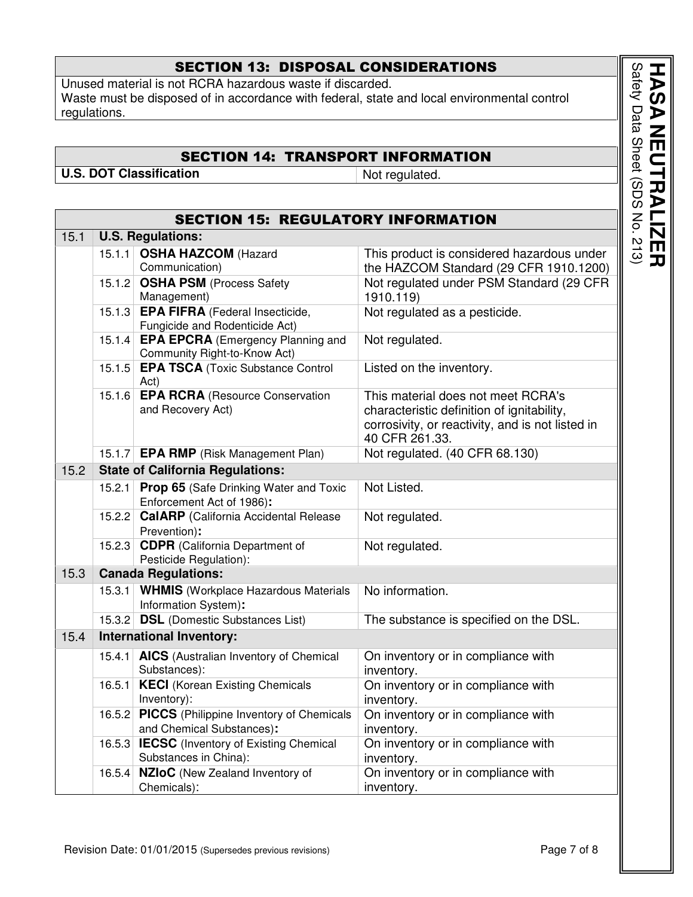## SECTION 13: DISPOSAL CONSIDERATIONS

Unused material is not RCRA hazardous waste if discarded. Waste must be disposed of in accordance with federal, state and local environmental control regulations.

## SECTION 14: TRANSPORT INFORMATION

**U.S. DOT Classification** Not regulated.

| <b>SECTION 15: REGULATORY INFORMATION</b> |        |                                                                              |                                                                                                                                                        |  |  |  |  |
|-------------------------------------------|--------|------------------------------------------------------------------------------|--------------------------------------------------------------------------------------------------------------------------------------------------------|--|--|--|--|
| 15.1                                      |        | <b>U.S. Regulations:</b>                                                     |                                                                                                                                                        |  |  |  |  |
|                                           | 15.1.1 | <b>OSHA HAZCOM (Hazard</b><br>Communication)                                 | This product is considered hazardous under<br>the HAZCOM Standard (29 CFR 1910.1200)                                                                   |  |  |  |  |
|                                           |        | 15.1.2 OSHA PSM (Process Safety<br>Management)                               | Not regulated under PSM Standard (29 CFR<br>1910.119)                                                                                                  |  |  |  |  |
|                                           |        | 15.1.3 EPA FIFRA (Federal Insecticide,<br>Fungicide and Rodenticide Act)     | Not regulated as a pesticide.                                                                                                                          |  |  |  |  |
|                                           | 15.1.4 | <b>EPA EPCRA</b> (Emergency Planning and<br>Community Right-to-Know Act)     | Not regulated.                                                                                                                                         |  |  |  |  |
|                                           | 15.1.5 | <b>EPA TSCA (Toxic Substance Control</b><br>Act)                             | Listed on the inventory.                                                                                                                               |  |  |  |  |
|                                           | 15.1.6 | <b>EPA RCRA (Resource Conservation</b><br>and Recovery Act)                  | This material does not meet RCRA's<br>characteristic definition of ignitability,<br>corrosivity, or reactivity, and is not listed in<br>40 CFR 261.33. |  |  |  |  |
|                                           |        | 15.1.7 EPA RMP (Risk Management Plan)                                        | Not regulated. (40 CFR 68.130)                                                                                                                         |  |  |  |  |
| 15.2                                      |        | <b>State of California Regulations:</b>                                      |                                                                                                                                                        |  |  |  |  |
|                                           |        | 15.2.1 Prop 65 (Safe Drinking Water and Toxic<br>Enforcement Act of 1986):   | Not Listed.                                                                                                                                            |  |  |  |  |
|                                           |        | 15.2.2 CalARP (California Accidental Release<br>Prevention):                 | Not regulated.                                                                                                                                         |  |  |  |  |
|                                           | 15.2.3 | <b>CDPR</b> (California Department of<br>Pesticide Regulation):              | Not regulated.                                                                                                                                         |  |  |  |  |
| 15.3                                      |        | <b>Canada Regulations:</b>                                                   |                                                                                                                                                        |  |  |  |  |
|                                           | 15.3.1 | <b>WHMIS</b> (Workplace Hazardous Materials<br>Information System):          | No information.                                                                                                                                        |  |  |  |  |
|                                           |        | 15.3.2 DSL (Domestic Substances List)                                        | The substance is specified on the DSL.                                                                                                                 |  |  |  |  |
| 15.4                                      |        | <b>International Inventory:</b>                                              |                                                                                                                                                        |  |  |  |  |
|                                           |        | 15.4.1 <b>AICS</b> (Australian Inventory of Chemical<br>Substances):         | On inventory or in compliance with<br>inventory.                                                                                                       |  |  |  |  |
|                                           | 16.5.1 | <b>KECI</b> (Korean Existing Chemicals<br>Inventory):                        | On inventory or in compliance with<br>inventory.                                                                                                       |  |  |  |  |
|                                           |        | 16.5.2 PICCS (Philippine Inventory of Chemicals<br>and Chemical Substances): | On inventory or in compliance with<br>inventory.                                                                                                       |  |  |  |  |
|                                           |        | 16.5.3 <b>IECSC</b> (Inventory of Existing Chemical<br>Substances in China): | On inventory or in compliance with<br>inventory.                                                                                                       |  |  |  |  |
|                                           | 16.5.4 | NZIoC (New Zealand Inventory of<br>Chemicals):                               | On inventory or in compliance with<br>inventory.                                                                                                       |  |  |  |  |

Safety Data Sheet (SDS No. **HASA** Safety Data Sheet (SDS No. 213) **NEUTRALIZER**  $\overline{\mathsf{L}}$ **RAI** г  $\overline{\bf N}$ **ZER**<br>213